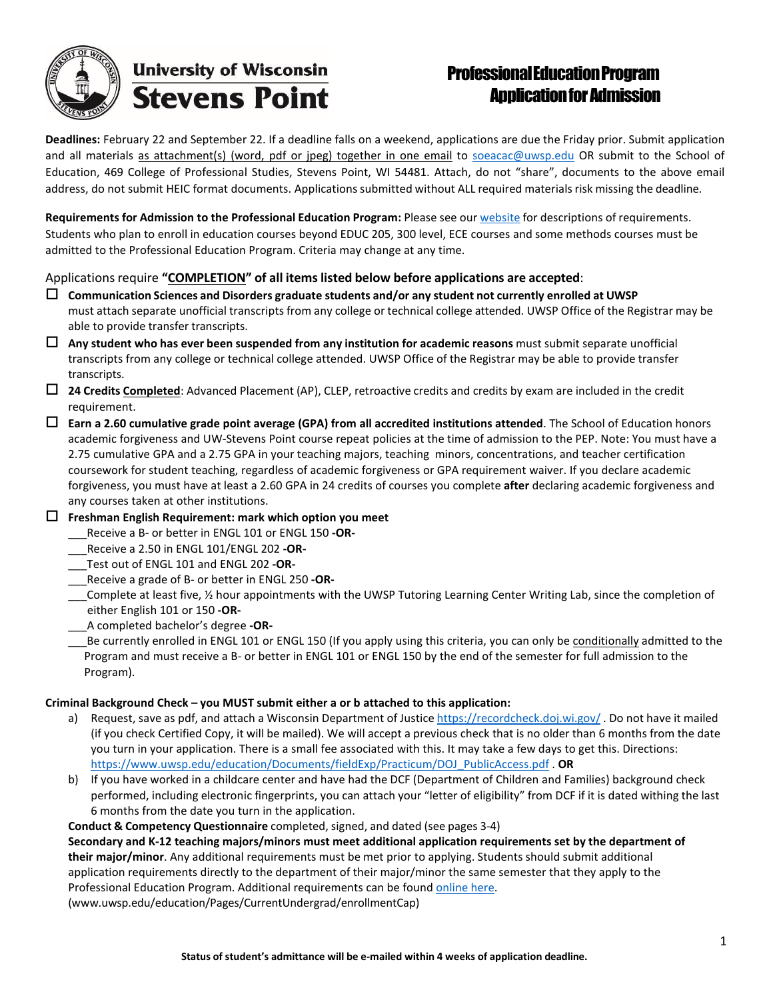

# ProfessionalEducationProgram **Application for Admission**

**Deadlines:** February 22 and September 22. If a deadline falls on a weekend, applications are due the Friday prior. Submit application and all materials as attachment(s) (word, pdf or jpeg) together in one email to [soeacac@uwsp.edu](mailto:soeacac@uwsp.edu) OR submit to the School of Education, 469 College of Professional Studies, Stevens Point, WI 54481. Attach, do not "share", documents to the above email address, do not submit HEIC format documents. Applications submitted without ALL required materials risk missing the deadline.

**Requirements for Admission to the Professional Education Program:** Please see our [website](http://www.uwsp.edu/education/Pages/CurrentUndergrad/UndergraduateAdvise/appRequire.aspx) for descriptions of requirements. Students who plan to enroll in education courses beyond EDUC 205, 300 level, ECE courses and some methods courses must be admitted to the Professional Education Program. Criteria may change at any time.

### Applications require **"COMPLETION" of all itemslisted below before applications are accepted**:

- **Communication Sciences and Disorders graduate students and/or any student not currently enrolled at UWSP** must attach separate unofficial transcripts from any college or technical college attended. UWSP Office of the Registrar may be able to provide transfer transcripts.
- **Any student who has ever been suspended from any institution for academic reasons** must submit separate unofficial transcripts from any college or technical college attended. UWSP Office of the Registrar may be able to provide transfer transcripts.
- **24 Credits Completed**: Advanced Placement (AP), CLEP, retroactive credits and credits by exam are included in the credit requirement.
- **Earn a 2.60 cumulative grade point average (GPA) from all accredited institutions attended**. The School of Education honors academic forgiveness and UW-Stevens Point course repeat policies at the time of admission to the PEP. Note: You must have a 2.75 cumulative GPA and a 2.75 GPA in your teaching majors, teaching minors, concentrations, and teacher certification coursework for student teaching, regardless of academic forgiveness or GPA requirement waiver. If you declare academic forgiveness, you must have at least a 2.60 GPA in 24 credits of courses you complete **after** declaring academic forgiveness and any courses taken at other institutions.
- **Freshman English Requirement: mark which option you meet**
	- \_\_\_Receive a B- or better in ENGL 101 or ENGL 150 **-OR-**
	- \_\_\_Receive a 2.50 in ENGL 101/ENGL 202 **-OR-**
	- \_\_\_Test out of ENGL 101 and ENGL 202 **-OR-**
	- \_\_\_Receive a grade of B- or better in ENGL 250 **-OR-**
	- Complete at least five,  $\frac{1}{2}$  hour appointments with the UWSP Tutoring Learning Center Writing Lab, since the completion of either English 101 or 150 **-OR-**
	- \_\_\_A completed bachelor's degree **-OR-**
	- Be currently enrolled in ENGL 101 or ENGL 150 (If you apply using this criteria, you can only be conditionally admitted to the Program and must receive a B- or better in ENGL 101 or ENGL 150 by the end of the semester for full admission to the Program).

#### **Criminal Background Check – you MUST submit either a or b attached to this application:**

- a) Request, save as pdf, and attach a Wisconsin Department of Justice <https://recordcheck.doj.wi.gov/> . Do not have it mailed (if you check Certified Copy, it will be mailed). We will accept a previous check that is no older than 6 months from the date you turn in your application. There is a small fee associated with this. It may take a few days to get this. Directions: [https://www.uwsp.edu/education/Documents/fieldExp/Practicum/DOJ\\_PublicAccess.pdf](https://www.uwsp.edu/education/Documents/fieldExp/Practicum/DOJ_PublicAccess.pdf) . **OR**
- b) If you have worked in a childcare center and have had the DCF (Department of Children and Families) background check performed, including electronic fingerprints, you can attach your "letter of eligibility" from DCF if it is dated withing the last 6 months from the date you turn in the application.
- **Conduct & Competency Questionnaire** completed, signed, and dated (see pages 3-4)

**Secondary and K-12 teaching majors/minors must meet additional application requirements set by the department of their major/minor**. Any additional requirements must be met prior to applying. Students should submit additional application requirements directly to the department of their major/minor the same semester that they apply to the Professional Education Program. Additional requirements can be [found online h](http://www.uwsp.edu/education/Pages/CurrentUndergrad/enrollmentCap)ere.

[\(www.uwsp.edu/education/Pages/CurrentUndergrad/enrollmentCap\)](http://www.uwsp.edu/education/Pages/CurrentUndergrad/enrollmentCap))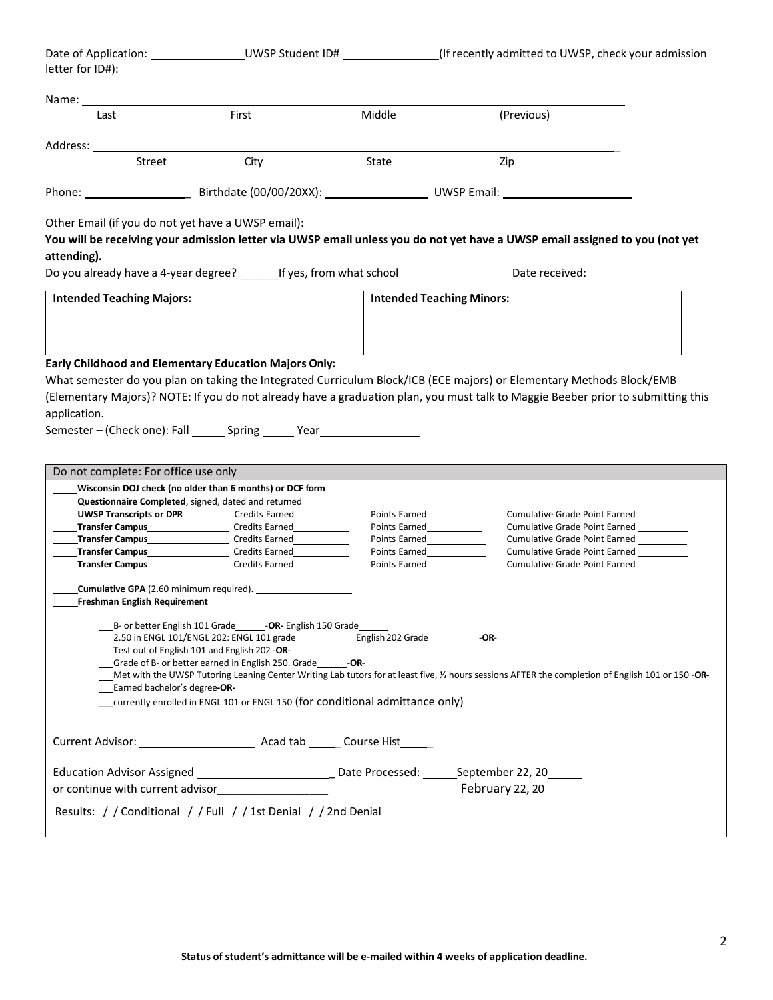| letter for ID#):                                                |                                                                                                                                                                                                                                                                                                                                                                                                                                                                                                                                   |                                                                                                                                                                                                                                                                                                                                                         | Date of Application: ___________________UWSP Student ID# _________________(If recently admitted to UWSP, check your admission                                                                                                                                                                                                               |  |
|-----------------------------------------------------------------|-----------------------------------------------------------------------------------------------------------------------------------------------------------------------------------------------------------------------------------------------------------------------------------------------------------------------------------------------------------------------------------------------------------------------------------------------------------------------------------------------------------------------------------|---------------------------------------------------------------------------------------------------------------------------------------------------------------------------------------------------------------------------------------------------------------------------------------------------------------------------------------------------------|---------------------------------------------------------------------------------------------------------------------------------------------------------------------------------------------------------------------------------------------------------------------------------------------------------------------------------------------|--|
| Name: Name                                                      |                                                                                                                                                                                                                                                                                                                                                                                                                                                                                                                                   |                                                                                                                                                                                                                                                                                                                                                         |                                                                                                                                                                                                                                                                                                                                             |  |
| Last                                                            | First                                                                                                                                                                                                                                                                                                                                                                                                                                                                                                                             | Middle                                                                                                                                                                                                                                                                                                                                                  | (Previous)                                                                                                                                                                                                                                                                                                                                  |  |
| Street                                                          | City                                                                                                                                                                                                                                                                                                                                                                                                                                                                                                                              | State                                                                                                                                                                                                                                                                                                                                                   | Zip                                                                                                                                                                                                                                                                                                                                         |  |
|                                                                 |                                                                                                                                                                                                                                                                                                                                                                                                                                                                                                                                   |                                                                                                                                                                                                                                                                                                                                                         |                                                                                                                                                                                                                                                                                                                                             |  |
| attending).                                                     | Other Email (if you do not yet have a UWSP email): _____________________________                                                                                                                                                                                                                                                                                                                                                                                                                                                  |                                                                                                                                                                                                                                                                                                                                                         | You will be receiving your admission letter via UWSP email unless you do not yet have a UWSP email assigned to you (not yet                                                                                                                                                                                                                 |  |
|                                                                 |                                                                                                                                                                                                                                                                                                                                                                                                                                                                                                                                   |                                                                                                                                                                                                                                                                                                                                                         | Do you already have a 4-year degree? If yes, from what school Down Date received: 2000                                                                                                                                                                                                                                                      |  |
| <b>Intended Teaching Majors:</b>                                |                                                                                                                                                                                                                                                                                                                                                                                                                                                                                                                                   | <b>Intended Teaching Minors:</b>                                                                                                                                                                                                                                                                                                                        |                                                                                                                                                                                                                                                                                                                                             |  |
|                                                                 |                                                                                                                                                                                                                                                                                                                                                                                                                                                                                                                                   |                                                                                                                                                                                                                                                                                                                                                         |                                                                                                                                                                                                                                                                                                                                             |  |
| application.<br>Do not complete: For office use only            | Semester-(Check one): Fall _______ Spring ______ Year __________________________<br>Wisconsin DOJ check (no older than 6 months) or DCF form<br>Questionnaire Completed, signed, dated and returned<br><b>UWSP Transcripts or DPR</b> Credits Earned Construction Construction Construction Construction Construction Constr<br><b>Transfer Campus</b> Credits Earned<br><b>Transfer Campus</b> Credits Earned<br><b>_____Transfer Campus______________________</b> Credits Earned_____________<br>Transfer Campus Credits Earned | Points Earned<br><u>Letter and the set of the set of the set of the set of the set of the set of the set of the set of the set of the set of the set of the set of the set of the set of the set of the set of the set of the set </u><br>Points Earned <b>Example</b><br>Points Earned______________<br>Points Earned <b>No. 2018</b><br>Points Earned | (Elementary Majors)? NOTE: If you do not already have a graduation plan, you must talk to Maggie Beeber prior to submitting this<br>Cumulative Grade Point Earned _________<br><b>Cumulative Grade Point Earned</b><br><b>Cumulative Grade Point Earned</b><br><b>Cumulative Grade Point Earned</b><br><b>Cumulative Grade Point Earned</b> |  |
|                                                                 |                                                                                                                                                                                                                                                                                                                                                                                                                                                                                                                                   |                                                                                                                                                                                                                                                                                                                                                         |                                                                                                                                                                                                                                                                                                                                             |  |
| Freshman English Requirement<br>___Earned bachelor's degree-OR- | B- or better English 101 Grade - OR- English 150 Grade<br>Test out of English 101 and English 202 -OR-<br>Grade of B- or better earned in English 250. Grade - - OR-<br>currently enrolled in ENGL 101 or ENGL 150 (for conditional admittance only)                                                                                                                                                                                                                                                                              |                                                                                                                                                                                                                                                                                                                                                         | Met with the UWSP Tutoring Leaning Center Writing Lab tutors for at least five, 1/2 hours sessions AFTER the completion of English 101 or 150 -OR-                                                                                                                                                                                          |  |
|                                                                 |                                                                                                                                                                                                                                                                                                                                                                                                                                                                                                                                   |                                                                                                                                                                                                                                                                                                                                                         |                                                                                                                                                                                                                                                                                                                                             |  |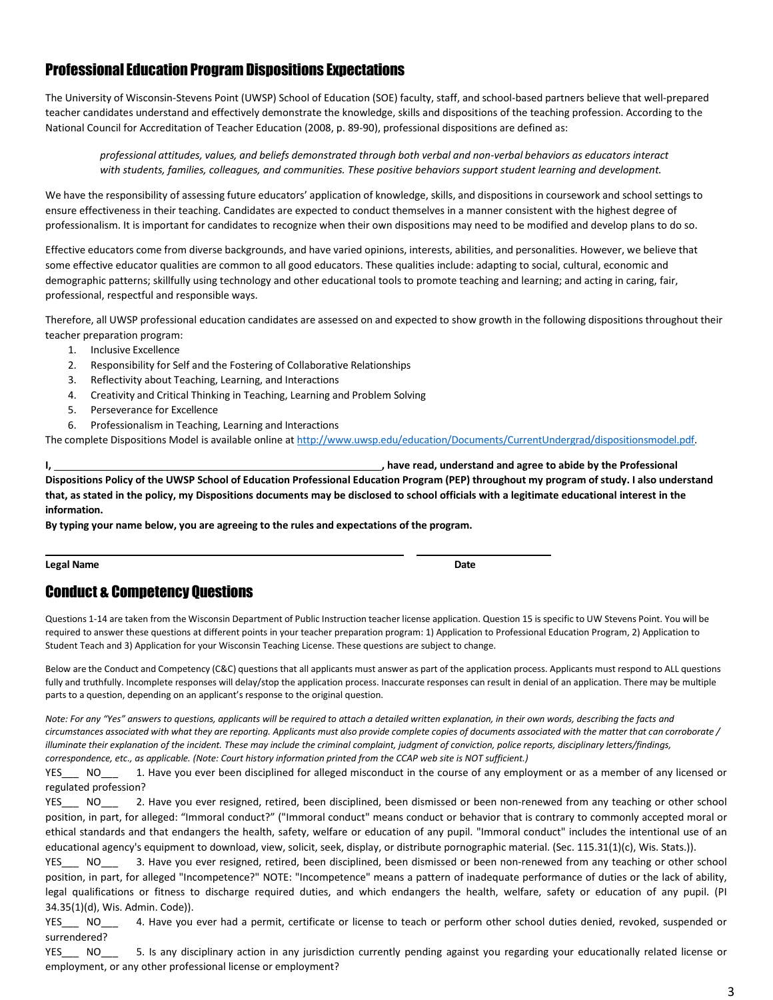### Professional Education Program Dispositions Expectations

The University of Wisconsin-Stevens Point (UWSP) School of Education (SOE) faculty, staff, and school-based partners believe that well-prepared teacher candidates understand and effectively demonstrate the knowledge, skills and dispositions of the teaching profession. According to the National Council for Accreditation of Teacher Education (2008, p. 89-90), professional dispositions are defined as:

professional attitudes, values, and beliefs demonstrated through both verbal and non-verbal behaviors as educators interact *with students, families, colleagues, and communities. These positive behaviors support student learning and development.*

We have the responsibility of assessing future educators' application of knowledge, skills, and dispositions in coursework and school settings to ensure effectiveness in their teaching. Candidates are expected to conduct themselves in a manner consistent with the highest degree of professionalism. It is important for candidates to recognize when their own dispositions may need to be modified and develop plans to do so.

Effective educators come from diverse backgrounds, and have varied opinions, interests, abilities, and personalities. However, we believe that some effective educator qualities are common to all good educators. These qualities include: adapting to social, cultural, economic and demographic patterns; skillfully using technology and other educational tools to promote teaching and learning; and acting in caring, fair, professional, respectful and responsible ways.

Therefore, all UWSP professional education candidates are assessed on and expected to show growth in the following dispositions throughout their teacher preparation program:

- 1. Inclusive Excellence
- 2. Responsibility for Self and the Fostering of Collaborative Relationships
- 3. Reflectivity about Teaching, Learning, and Interactions
- 4. Creativity and Critical Thinking in Teaching, Learning and Problem Solving
- 5. Perseverance for Excellence
- 6. Professionalism in Teaching, Learning and Interactions

The complete Dispositions Model is available online at [http://www.uwsp.edu/education/Documents/CurrentUndergrad/dispositionsmodel.pdf.](http://www.uwsp.edu/education/Documents/CurrentUndergrad/dispositionsmodel.pdf)

**I, , have read, understand and agree to abide by the Professional**  Dispositions Policy of the UWSP School of Education Professional Education Program (PEP) throughout my program of study. I also understand **that, as stated in the policy, my Dispositions documents may be disclosed to school officials with a legitimate educational interest in the information.**

**By typing your name below, you are agreeing to the rules and expectations of the program.**

**Legal Name Date** 

## Conduct & Competency Questions

Questions 1-14 are taken from the Wisconsin Department of Public Instruction teacher license application. Question 15 is specific to UW Stevens Point. You will be required to answer these questions at different points in your teacher preparation program: 1) Application to Professional Education Program, 2) Application to Student Teach and 3) Application for your Wisconsin Teaching License. These questions are subject to change.

Below are the Conduct and Competency (C&C) questions that all applicants must answer as part of the application process. Applicants must respond to ALL questions fully and truthfully. Incomplete responses will delay/stop the application process. Inaccurate responses can result in denial of an application. There may be multiple parts to a question, depending on an applicant's response to the original question.

*Note: For any "Yes" answers to questions, applicants will be required to attach a detailed written explanation, in their own words, describing the facts and* circumstances associated with what they are reporting. Applicants must also provide complete copies of documents associated with the matter that can corroborate / *illuminate their explanation of the incident. These may include the criminal complaint, judgment of conviction, police reports, disciplinary letters/findings, correspondence, etc., as applicable. (Note: Court history information printed from the CCAP web site is NOT sufficient.)*

YES NO 1. Have you ever been disciplined for alleged misconduct in the course of any employment or as a member of any licensed or regulated profession?

YES NO 2. Have you ever resigned, retired, been disciplined, been dismissed or been non-renewed from any teaching or other school position, in part, for alleged: "Immoral conduct?" ("Immoral conduct" means conduct or behavior that is contrary to commonly accepted moral or ethical standards and that endangers the health, safety, welfare or education of any pupil. "Immoral conduct" includes the intentional use of an educational agency's equipment to download, view, solicit, seek, display, or distribute pornographic material. (Sec. 115.31(1)(c), Wis. Stats.)).

YES NO 3. Have you ever resigned, retired, been disciplined, been dismissed or been non-renewed from any teaching or other school position, in part, for alleged "Incompetence?" NOTE: "Incompetence" means a pattern of inadequate performance of duties or the lack of ability, legal qualifications or fitness to discharge required duties, and which endangers the health, welfare, safety or education of any pupil. (PI 34.35(1)(d), Wis. Admin. Code)).

YES\_\_\_ NO\_\_\_ 4. Have you ever had a permit, certificate or license to teach or perform other school duties denied, revoked, suspended or surrendered?

YES\_\_\_ NO\_\_\_ 5. Is any disciplinary action in any jurisdiction currently pending against you regarding your educationally related license or employment, or any other professional license or employment?